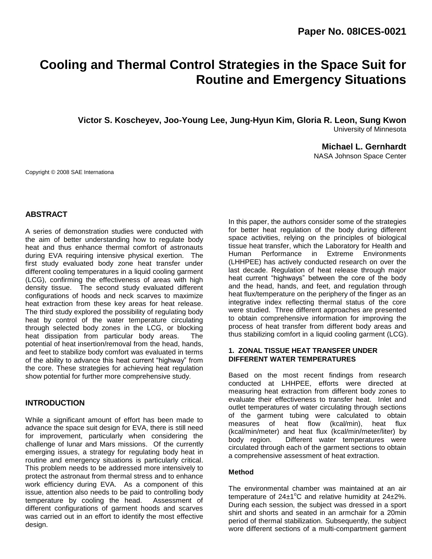# **Cooling and Thermal Control Strategies in the Space Suit for Routine and Emergency Situations**

**Victor S. Koscheyev, Joo-Young Lee, Jung-Hyun Kim, Gloria R. Leon, Sung Kwon** University of Minnesota

> **Michael L. Gernhardt** NASA Johnson Space Center

Copyright © 2008 SAE Internationa

# **ABSTRACT**

A series of demonstration studies were conducted with the aim of better understanding how to regulate body heat and thus enhance thermal comfort of astronauts during EVA requiring intensive physical exertion. The first study evaluated body zone heat transfer under different cooling temperatures in a liquid cooling garment (LCG), confirming the effectiveness of areas with high density tissue. The second study evaluated different configurations of hoods and neck scarves to maximize heat extraction from these key areas for heat release. The third study explored the possibility of regulating body heat by control of the water temperature circulating through selected body zones in the LCG, or blocking heat dissipation from particular body areas. The potential of heat insertion/removal from the head, hands, and feet to stabilize body comfort was evaluated in terms of the ability to advance this heat current "highway" from the core. These strategies for achieving heat regulation show potential for further more comprehensive study.

## **INTRODUCTION**

While a significant amount of effort has been made to advance the space suit design for EVA, there is still need for improvement, particularly when considering the challenge of lunar and Mars missions. Of the currently emerging issues, a strategy for regulating body heat in routine and emergency situations is particularly critical. This problem needs to be addressed more intensively to protect the astronaut from thermal stress and to enhance work efficiency during EVA. As a component of this issue, attention also needs to be paid to controlling body temperature by cooling the head. Assessment of different configurations of garment hoods and scarves was carried out in an effort to identify the most effective design.

In this paper, the authors consider some of the strategies for better heat regulation of the body during different space activities, relying on the principles of biological tissue heat transfer, which the Laboratory for Health and Human Performance in Extreme Environments (LHHPEE) has actively conducted research on over the last decade. Regulation of heat release through major heat current "highways" between the core of the body and the head, hands, and feet, and regulation through heat flux/temperature on the periphery of the finger as an integrative index reflecting thermal status of the core were studied. Three different approaches are presented to obtain comprehensive information for improving the process of heat transfer from different body areas and thus stabilizing comfort in a liquid cooling garment (LCG).

## **1. ZONAL TISSUE HEAT TRANSFER UNDER DIFFERENT WATER TEMPERATURES**

Based on the most recent findings from research conducted at LHHPEE, efforts were directed at measuring heat extraction from different body zones to evaluate their effectiveness to transfer heat. Inlet and outlet temperatures of water circulating through sections of the garment tubing were calculated to obtain measures of heat flow (kcal/min), heat flux (kcal/min/meter) and heat flux (kcal/min/meter/liter) by body region. Different water temperatures were circulated through each of the garment sections to obtain a comprehensive assessment of heat extraction.

## **Method**

The environmental chamber was maintained at an air temperature of  $24\pm1^{\circ}$ C and relative humidity at  $24\pm2\%$ . During each session, the subject was dressed in a sport shirt and shorts and seated in an armchair for a 20min period of thermal stabilization. Subsequently, the subject wore different sections of a multi-compartment garment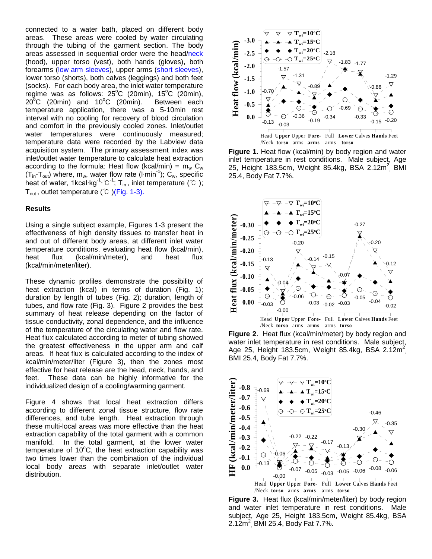connected to a water bath, placed on different body areas. These areas were cooled by water circulating through the tubing of the garment section. The body areas assessed in sequential order were the head/neck (hood), upper torso (vest), both hands (gloves), both forearms (low arm sleeves), upper arms (short sleeves), lower torso (shorts), both calves (leggings) and both feet (socks). For each body area, the inlet water temperature regime was as follows:  $25^{\circ}$ C (20min), 15 $^{\circ}$ C (20min),  $20^{\circ}$ C (20min) and 10 $^{\circ}$ C (20min). Between each temperature application, there was a 5-10min rest interval with no cooling for recovery of blood circulation and comfort in the previously cooled zones. Inlet/outlet water temperatures were continuously measured; temperature data were recorded by the Labview data acquisition system. The primary assessment index was inlet/outlet water temperature to calculate heat extraction according to the formula: Heat flow (kcal/min) =  $m_w C_w$  $(T_{in}T_{out})$  where, m<sub>w</sub>, water flow rate (l∙min<sup>-1</sup>);  $C_{w}$ , specific heat of water, 1kcal∙kg<sup>-1</sup>∶°C<sup>-1</sup>; T<sub>in</sub>, inlet temperature (°C); Tout , outlet temperature (℃ )(Fig. 1-3).

### **Results**

Using a single subject example, Figures 1-3 present the effectiveness of high density tissues to transfer heat in and out of different body areas, at different inlet water temperature conditions, evaluating heat flow (kcal/min), heat flux (kcal/min/meter), and heat flux (kcal/min/meter/liter).

These dynamic profiles demonstrate the possibility of heat extraction (kcal) in terms of duration (Fig. 1); duration by length of tubes (Fig. 2); duration, length of tubes, and flow rate (Fig. 3). Figure 2 provides the best summary of heat release depending on the factor of tissue conductivity, zonal dependence, and the influence of the temperature of the circulating water and flow rate. Heat flux calculated according to meter of tubing showed the greatest effectiveness in the upper arm and calf areas. If heat flux is calculated according to the index of kcal/min/meter/liter (Figure 3), then the zones most effective for heat release are the head, neck, hands, and feet. These data can be highly informative for the individualized design of a cooling/warming garment.

Figure 4 shows that local heat extraction differs according to different zonal tissue structure, flow rate differences, and tube length. Heat extraction through these multi-local areas was more effective than the heat extraction capability of the total garment with a common manifold. In the total garment, at the lower water temperature of  $10^{\circ}$ C, the heat extraction capability was two times lower than the combination of the individual local body areas with separate inlet/outlet water distribution.



**Figure 1.** Heat flow (kcal/min) by body region and water inlet temperature in rest conditions. Male subject, Age 25, Height 183.5cm, Weight 85.4kg, BSA 2.12 $m^2$ , BMI 25.4, Body Fat 7.7%.



**Figure 2**. Heat flux (kcal/min/meter) by body region and water inlet temperature in rest conditions. Male subject, Age 25, Height 183.5cm, Weight 85.4kg, BSA 2.12m<sup>2</sup>, BMI 25.4, Body Fat 7.7%.



**Figure 3.** Heat flux (kcal/min/meter/liter) by body region and water inlet temperature in rest conditions. Male subject, Age 25, Height 183.5cm, Weight 85.4kg, BSA  $2.12 \text{m}^2$ , BMI 25.4, Body Fat 7.7%.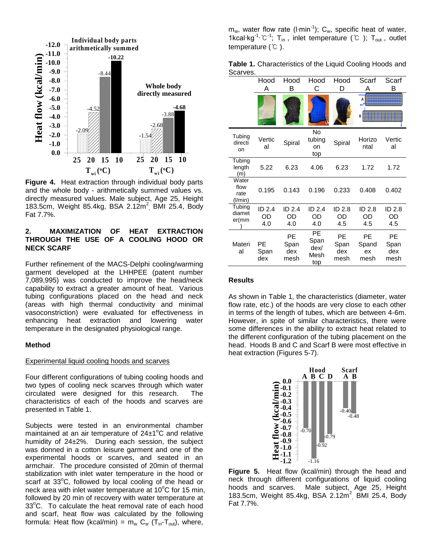

**Figure 4.** Heat extraction through individual body parts and the whole body - arithmetically summed values vs. directly measured values. Male subject, Age 25, Height 183.5cm, Weight 85.4kg, BSA 2.12m<sup>2</sup>, BMI 25.4, Body Fat 7.7%.

#### **2. MAXIMIZATION OF HEAT EXTRACTION THROUGH THE USE OF A COOLING HOOD OR NECK SCARF**

Further refinement of the MACS-Delphi cooling/warming garment developed at the LHHPEE (patent number 7,089,995) was conducted to improve the head/neck capability to extract a greater amount of heat. Various tubing configurations placed on the head and neck (areas with high thermal conductivity and minimal vasoconstriction) were evaluated for effectiveness in enhancing heat extraction and lowering water temperature in the designated physiological range.

#### **Method**

#### Experimental liquid cooling hoods and scarves

Four different configurations of tubing cooling hoods and two types of cooling neck scarves through which water circulated were designed for this research. The characteristics of each of the hoods and scarves are presented in Table 1.

Subjects were tested in an environmental chamber maintained at an air temperature of 24±1°C and relative humidity of 24±2%. During each session, the subject was donned in a cotton leisure garment and one of the experimental hoods or scarves, and seated in an armchair. The procedure consisted of 20min of thermal stabilization with inlet water temperature in the hood or scarf at 33°C, followed by local cooling of the head or neck area with inlet water temperature at  $10^{\circ}$ C for 15 min, followed by 20 min of recovery with water temperature at 33°C. To calculate the heat removal rate of each hood and scarf, heat flow was calculated by the following formula: Heat flow (kcal/min) =  $m_w$  C<sub>w</sub> (T<sub>in</sub>-T<sub>out</sub>), where,

 $m_w$ , water flow rate (l⋅min<sup>-1</sup>);  $C_w$ , specific heat of water, 1kcal⋅kg<sup>-1</sup>⋅°C<sup>-1</sup>; T<sub>in</sub>, inlet temperature (°C); T<sub>out</sub>, outlet temperature (℃ ).

|          | <b>Table 1.</b> Characteristics of the Liquid Cooling Hoods and |  |
|----------|-----------------------------------------------------------------|--|
| Scarves. |                                                                 |  |

|                                  | Hood<br>Α           | Hood<br>B                  | Hood<br>С                                | Hood<br>n                 | Scarf<br>А                 | Scarf<br>в                |
|----------------------------------|---------------------|----------------------------|------------------------------------------|---------------------------|----------------------------|---------------------------|
|                                  |                     |                            |                                          |                           | A<br>В                     |                           |
| Tubing<br>directi<br>on          | Vertic<br>al        | Spiral                     | No<br>tubing<br>on<br>top                | Spiral                    | Horizo<br>ntal             | Vertic<br>al              |
| Tubing<br>length<br>(m)          | 5.22                | 6.23                       | 4.06                                     | 6.23                      | 1.72                       | 1.72                      |
| Water<br>flow<br>rate<br>(1/min) | 0.195               | 0.143                      | 0.196                                    | 0.233                     | 0.408                      | 0.402                     |
| Tubing<br>diamet<br>er(mm)       | ID 2.4<br>OD<br>4.0 | ID 2.4<br>OD<br>4.0        | ID 2.4<br>OD<br>4.0                      | ID 2.8<br>OD<br>4.5       | ID 2.8<br>OD<br>4.5        | ID 2.8<br>OD<br>4.5       |
| Materi<br>al                     | РE<br>Span<br>dex   | PE.<br>Span<br>dex<br>mesh | <b>PE</b><br>Span<br>dex/<br>Mesh<br>top | PЕ<br>Span<br>dex<br>mesh | PE.<br>Spand<br>ex<br>mesh | PЕ<br>Span<br>dex<br>mesh |

### **Results**

As shown in Table 1, the characteristics (diameter, water flow rate, etc.) of the hoods are very close to each other in terms of the length of tubes, which are between 4-6m. However, in spite of similar characteristics, there were some differences in the ability to extract heat related to the different configuration of the tubing placement on the head. Hoods B and C and Scarf B were most effective in heat extraction (Figures 5-7).



**Figure 5.** Heat flow (kcal/min) through the head and neck through different configurations of liquid cooling hoods and scarves. Male subject, Age 25, Height 183.5cm, Weight 85.4kg, BSA 2.12m<sup>2</sup>, BMI 25.4, Body Fat 7.7%.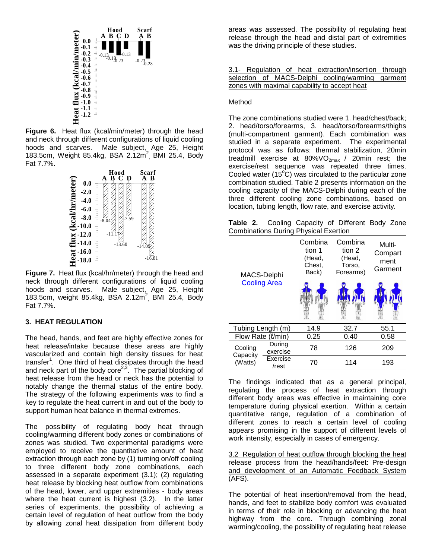

**Figure 6.** Heat flux (kcal/min/meter) through the head and neck through different configurations of liquid cooling hoods and scarves. Male subject, Age 25, Height 183.5cm, Weight 85.4kg, BSA 2.12m<sup>2</sup>, BMI 25.4, Body Fat 7.7%.



**Figure 7.** Heat flux (kcal/hr/meter) through the head and neck through different configurations of liquid cooling hoods and scarves. Male subject, Age 25, Height 183.5cm, weight 85.4kg, BSA 2.12m<sup>2</sup>, BMI 25.4, Body Fat 7.7%.

## **3. HEAT REGULATION**

The head, hands, and feet are highly effective zones for heat release/intake because these areas are highly vascularized and contain high density tissues for heat transfer<sup>1</sup>. One third of heat dissipates through the head and neck part of the body core<sup>2,3</sup>. The partial blocking of heat release from the head or neck has the potential to notably change the thermal status of the entire body. The strategy of the following experiments was to find a key to regulate the heat current in and out of the body to support human heat balance in thermal extremes.

The possibility of regulating body heat through cooling/warming different body zones or combinations of zones was studied. Two experimental paradigms were employed to receive the quantitative amount of heat extraction through each zone by (1) turning on/off cooling to three different body zone combinations, each assessed in a separate experiment (3.1); (2) regulating heat release by blocking heat outflow from combinations of the head, lower, and upper extremities - body areas where the heat current is highest (3.2). In the latter series of experiments, the possibility of achieving a certain level of regulation of heat outflow from the body by allowing zonal heat dissipation from different body

areas was assessed. The possibility of regulating heat release through the head and distal part of extremities was the driving principle of these studies.

### 3.1- Regulation of heat extraction/insertion through selection of MACS-Delphi cooling/warming garment zones with maximal capability to accept heat

## Method

The zone combinations studied were 1. head/chest/back; 2. head/torso/forearms, 3. head/torso/forearms/thighs (multi-compartment garment). Each combination was studied in a separate experiment. The experimental protocol was as follows: thermal stabilization, 20min treadmill exercise at  $80\%$ VO<sub>2max</sub> / 20min rest; the exercise/rest sequence was repeated three times. Cooled water (15 $^{\circ}$ C) was circulated to the particular zone combination studied. Table 2 presents information on the cooling capacity of the MACS-Delphi during each of the three different cooling zone combinations, based on location, tubing length, flow rate, and exercise activity.

| Table 2. Cooling Capacity of Different Body Zone |  |  |  |
|--------------------------------------------------|--|--|--|
| <b>Combinations During Physical Exertion</b>     |  |  |  |

| MACS-Delphi<br><b>Cooling Area</b> |                    | Combina<br>tion 1<br>(Head,<br>Chest,<br>Back) | Combina<br>tion 2<br>(Head,<br>Torso,<br>Forearms) | Multi-<br>Compart<br>ment<br>Garment |  |
|------------------------------------|--------------------|------------------------------------------------|----------------------------------------------------|--------------------------------------|--|
|                                    |                    |                                                |                                                    |                                      |  |
| Tubing Length (m)                  |                    | 14.9                                           | 32.7                                               | 55.1                                 |  |
| Flow Rate ( <i>l</i> /min)         |                    | 0.25                                           | 0.40                                               | 0.58                                 |  |
| Cooling<br>Capacity<br>(Watts)     | During<br>exercise | 78                                             | 126                                                | 209                                  |  |
|                                    | Exercise<br>/rest  | 70                                             | 114                                                | 193                                  |  |

The findings indicated that as a general principal, regulating the process of heat extraction through different body areas was effective in maintaining core temperature during physical exertion. Within a certain quantitative range, regulation of a combination of different zones to reach a certain level of cooling appears promising in the support of different levels of work intensity, especially in cases of emergency.

3.2 Regulation of heat outflow through blocking the heat release process from the head/hands/feet: Pre-design and development of an Automatic Feedback System (AFS).

The potential of heat insertion/removal from the head, hands, and feet to stabilize body comfort was evaluated in terms of their role in blocking or advancing the heat highway from the core. Through combining zonal warming/cooling, the possibility of regulating heat release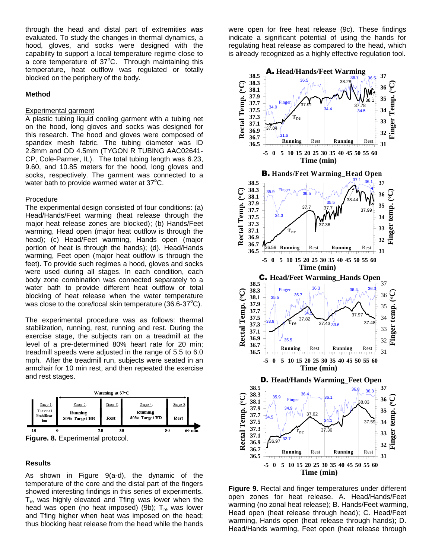through the head and distal part of extremities was evaluated. To study the changes in thermal dynamics, a hood, gloves, and socks were designed with the capability to support a local temperature regime close to a core temperature of  $37^{\circ}$ C. Through maintaining this temperature, heat outflow was regulated or totally blocked on the periphery of the body.

#### **Method**

#### Experimental garment

A plastic tubing liquid cooling garment with a tubing net on the hood, long gloves and socks was designed for this research. The hood and gloves were composed of spandex mesh fabric. The tubing diameter was ID 2.8mm and OD 4.5mm (TYGON R TUBING AAC02641- CP, Cole-Parmer, IL). The total tubing length was 6.23, 9.60, and 10.85 meters for the hood, long gloves and socks, respectively. The garment was connected to a water bath to provide warmed water at 37°C.

#### Procedure

The experimental design consisted of four conditions: (a) Head/Hands/Feet warming (heat release through the major heat release zones are blocked); (b) Hands/Feet warming, Head open (major heat outflow is through the head); (c) Head/Feet warming, Hands open (major portion of heat is through the hands); (d). Head/Hands warming, Feet open (major heat outflow is through the feet). To provide such regimes a hood, gloves and socks were used during all stages. In each condition, each body zone combination was connected separately to a water bath to provide different heat outflow or total blocking of heat release when the water temperature was close to the core/local skin temperature  $(36.6-37^{\circ}C)$ .

The experimental procedure was as follows: thermal stabilization, running, rest, running and rest. During the exercise stage, the subjects ran on a treadmill at the level of a pre-determined 80% heart rate for 20 min; treadmill speeds were adjusted in the range of 5.5 to 6.0 mph. After the treadmill run, subjects were seated in an armchair for 10 min rest, and then repeated the exercise and rest stages.



**Figure. 8.** Experimental protocol.

#### **Results**

As shown in Figure 9(a-d), the dynamic of the temperature of the core and the distal part of the fingers showed interesting findings in this series of experiments.  $T_{\text{re}}$  was highly elevated and Tfing was lower when the head was open (no heat imposed) (9b);  $T_{\text{re}}$  was lower and Tfing higher when heat was imposed on the head; thus blocking heat release from the head while the hands

were open for free heat release (9c). These findings indicate a significant potential of using the hands for regulating heat release as compared to the head, which is already recognized as a highly effective regulation tool.



**Figure 9.** Rectal and finger temperatures under different open zones for heat release. A. Head/Hands/Feet warming (no zonal heat release); B. Hands/Feet warming, Head open (heat release through head); C. Head/Feet warming, Hands open (heat release through hands); D. Head/Hands warming, Feet open (heat release through